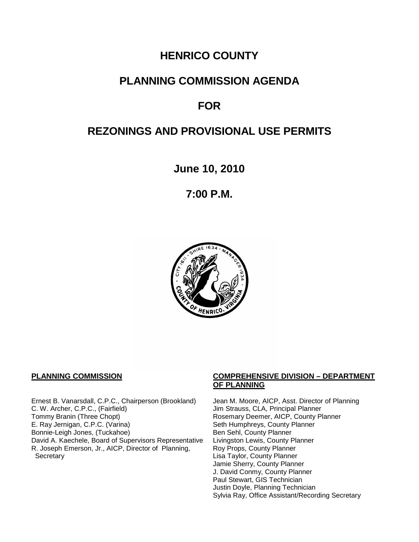# **HENRICO COUNTY**

## **PLANNING COMMISSION AGENDA**

## **FOR**

# **REZONINGS AND PROVISIONAL USE PERMITS**

**June 10, 2010**

**7:00 P.M.**



Ernest B. Vanarsdall, C.P.C., Chairperson (Brookland) Jean M. Moore, AICP, Asst. Director of Planning C. W. Archer, C.P.C., (Fairfield) Jim Strauss, CLA, Principal Planner C. W. Archer, C.P.C., (Fairfield) Jim Strauss, CLA, Principal Planner<br>Tommy Branin (Three Chopt) Strauss, CLA, Principal Planner E. Ray Jernigan, C.P.C. (Varina) Seth Humphreys, County Planner<br>Bonnie-Leigh Jones, (Tuckahoe) Sen Sehl, County Planner Bonnie-Leigh Jones, (Tuckahoe)<br>David A. Kaechele, Board of Supervisors Representative Livingston Lewis, County Planner David A. Kaechele, Board of Supervisors Representative R. Joseph Emerson, Jr., AICP, Director of Planning, **Secretary** 

#### **PLANNING COMMISSION COMPREHENSIVE DIVISION – DEPARTMENT OF PLANNING**

Rosemary Deemer, AICP, County Planner Roy Props, County Planner Lisa Taylor, County Planner Jamie Sherry, County Planner J. David Conmy, County Planner Paul Stewart, GIS Technician Justin Doyle, Planning Technician Sylvia Ray, Office Assistant/Recording Secretary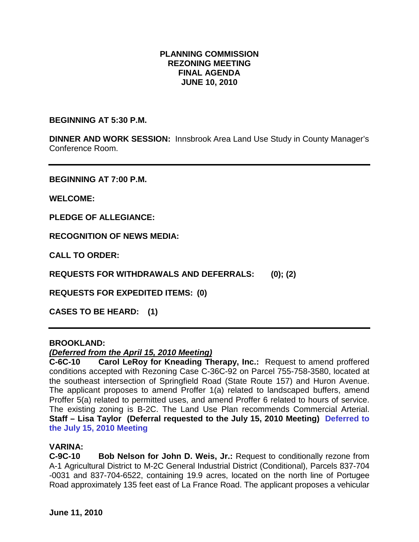## **PLANNING COMMISSION REZONING MEETING FINAL AGENDA JUNE 10, 2010**

**BEGINNING AT 5:30 P.M.**

**DINNER AND WORK SESSION:** Innsbrook Area Land Use Study in County Manager's Conference Room.

**BEGINNING AT 7:00 P.M.**

**WELCOME:**

**PLEDGE OF ALLEGIANCE:**

**RECOGNITION OF NEWS MEDIA:**

**CALL TO ORDER:**

**REQUESTS FOR WITHDRAWALS AND DEFERRALS: (0); (2)**

**REQUESTS FOR EXPEDITED ITEMS: (0)**

**CASES TO BE HEARD: (1)**

#### **BROOKLAND:**

#### *(Deferred from the April 15, 2010 Meeting)*

**C-6C-10 Carol LeRoy for Kneading Therapy, Inc.:** Request to amend proffered conditions accepted with Rezoning Case C-36C-92 on Parcel 755-758-3580, located at the southeast intersection of Springfield Road (State Route 157) and Huron Avenue. The applicant proposes to amend Proffer 1(a) related to landscaped buffers, amend Proffer 5(a) related to permitted uses, and amend Proffer 6 related to hours of service. The existing zoning is B-2C. The Land Use Plan recommends Commercial Arterial. **Staff – Lisa Taylor (Deferral requested to the July 15, 2010 Meeting) Deferred to the July 15, 2010 Meeting**

#### **VARINA:**

**C-9C-10 Bob Nelson for John D. Weis, Jr.:** Request to conditionally rezone from A-1 Agricultural District to M-2C General Industrial District (Conditional), Parcels 837-704 -0031 and 837-704-6522, containing 19.9 acres, located on the north line of Portugee Road approximately 135 feet east of La France Road. The applicant proposes a vehicular